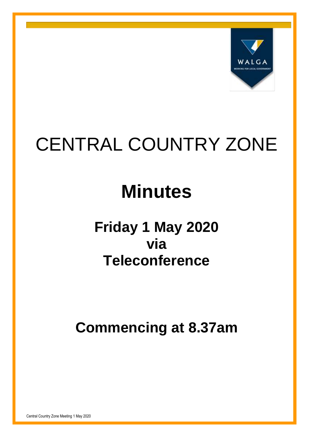

# CENTRAL COUNTRY ZONE

# **Minutes**

# **Friday 1 May 2020 via Teleconference**

**Commencing at 8.37am**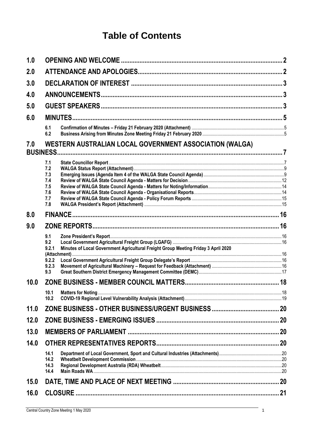## **Table of Contents**

| 1.0  |                                                                                                                                    |  |  |  |
|------|------------------------------------------------------------------------------------------------------------------------------------|--|--|--|
| 2.0  |                                                                                                                                    |  |  |  |
| 3.0  |                                                                                                                                    |  |  |  |
| 4.0  |                                                                                                                                    |  |  |  |
| 5.0  |                                                                                                                                    |  |  |  |
| 6.0  |                                                                                                                                    |  |  |  |
|      | 6.1<br>6.2                                                                                                                         |  |  |  |
| 7.0  | WESTERN AUSTRALIAN LOCAL GOVERNMENT ASSOCIATION (WALGA)                                                                            |  |  |  |
|      | 7.1<br>7.2<br>7.3<br>7.4<br>7.5<br>7.6<br>7.7<br>7.8                                                                               |  |  |  |
| 0.8  |                                                                                                                                    |  |  |  |
| 9.0  |                                                                                                                                    |  |  |  |
|      | 9.1<br>9.2<br>Minutes of Local Government Agricultural Freight Group Meeting Friday 3 April 2020<br>9.2.1<br>9.2.2<br>9.2.3<br>9.3 |  |  |  |
| 10.0 |                                                                                                                                    |  |  |  |
|      | 10.1<br>10.2                                                                                                                       |  |  |  |
| 11.0 |                                                                                                                                    |  |  |  |
| 12.0 |                                                                                                                                    |  |  |  |
| 13.0 |                                                                                                                                    |  |  |  |
| 14.0 |                                                                                                                                    |  |  |  |
|      | 14.1<br>14.2<br>14.3<br>14.4                                                                                                       |  |  |  |
| 15.0 |                                                                                                                                    |  |  |  |
| 16.0 |                                                                                                                                    |  |  |  |
|      |                                                                                                                                    |  |  |  |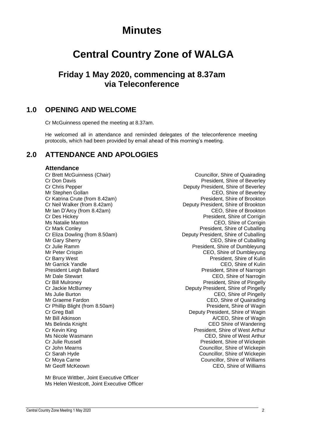## **Minutes**

## **Central Country Zone of WALGA**

## **Friday 1 May 2020, commencing at 8.37am via Teleconference**

## <span id="page-2-0"></span>**1.0 OPENING AND WELCOME**

Cr McGuinness opened the meeting at 8.37am.

He welcomed all in attendance and reminded delegates of the teleconference meeting protocols, which had been provided by email ahead of this morning's meeting.

## <span id="page-2-1"></span>**2.0 ATTENDANCE AND APOLOGIES**

#### **Attendance**

Cr Katrina Crute (from 8.42am) Mr Ian D'Arcy (from 8.42am)

Mr Bruce Wittber, Joint Executive Officer Ms Helen Westcott, Joint Executive Officer

Cr Brett McGuinness (Chair) Councillor, Shire of Quairading Cr Don Davis President, Shire of Beverley Cr Chris Pepper **Cricia Cr Chris Pepper** Deputy President, Shire of Beverley<br>Mr Stephen Gollan **Deputy President, Shire of Beverley** CEO, Shire of Beverley<br>President, Shire of Brookton Cr Neil Walker (from 8.42am)<br>Mr Ian D'Arcy (from 8.42am) Deputy President, Shire of Brookton<br>CEO, Shire of Brookton Cr Des Hickey President, Shire of Corrigin Ms Natalie Manton CEO, Shire of Corrigin Cr Mark Conley **President**, Shire of Cuballing Cr Eliza Dowling (from 8.50am) Deputy President, Shire of Cuballing Mr Gary Sherry **CEO**, Shire of Cuballing Cr Julie Ramm President, Shire of Dumbleyung CEO, Shire of Dumbleyung Cr Barry West<br>
Mr Garrick Yandle<br>
Mr Garrick Yandle Mr Garrick Yandle<br>
President Leigh Ballard<br>
President, Shire of Narrogin President, Shire of Narrogin Mr Dale Stewart CEO, Shire of Narrogin Cr Bill Mulroney President, Shire of Pingelly Cr Jackie McBurney **Deputy President, Shire of Pingelly** Ms Julie Burton CEO, Shire of Pingelly Mr Graeme Fardon CEO, Shire of Quairading Cr Phillip Blight (from 8.50am) **President, Shire of Wagin** President, Shire of Wagin Cr Greg Ball Cr Greg Ball Cr Greg Ball Cr Greg Ball Cr Greg Ball Cr Greg Deputy President, Shire of Wagin<br>Mr Bill Atkinson Cr Gregory A/CEO, Shire of Wagin A/CEO, Shire of Wagin Ms Belinda Knight **CEO** Shire of Wandering Cr Kevin King President, Shire of West Arthur CEO, Shire of West Arthur Cr Julie Russell President, Shire of Wickepin Cr John Mearns Councillor, Shire of Wickepin Cr Sarah Hyde Councillor, Shire of Wickepin Cr Moya Carne Councillor, Shire of Williams Mr Geoff McKeown CEO, Shire of Williams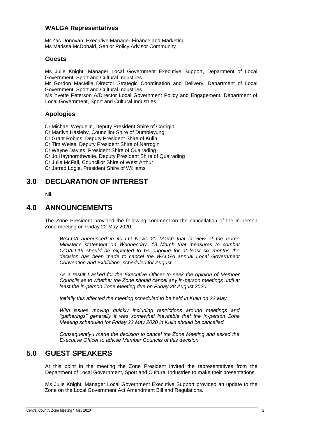#### **WALGA Representatives**

Mr Zac Donovan, Executive Manager Finance and Marketing Ms Marissa McDonald, Senior Policy Advisor Community

#### **Guests**

Ms Julie Knight, Manager Local Government Executive Support, Department of Local Government, Sport and Cultural Industries

Mr Gordon MacMile Director Strategic Coordination and Delivery, Department of Local Government, Sport and Cultural Industries

Ms Yvette Peterson A/Director Local Government Policy and Engagement, Department of Local Government, Sport and Cultural Industries

### **Apologies**

Cr Michael Weguelin, Deputy President Shire of Corrigin Cr Marilyn Hasleby, Councillor Shire of Dumbleyung Cr Grant Robins, Deputy President Shire of Kulin Cr Tim Weise, Deputy President Shire of Narrogin Cr Wayne Davies, President Shire of Quairading Cr Jo Haythornthwaite, Deputy President Shire of Quairading Cr Julie McFall, Councillor Shire of West Arthur Cr Jarrad Logie, President Shire of Williams

## <span id="page-3-0"></span>**3.0 DECLARATION OF INTEREST**

Nil

### <span id="page-3-1"></span>**4.0 ANNOUNCEMENTS**

The Zone President provided the following comment on the cancellation of the in-person Zone meeting on Friday 22 May 2020.

*WALGA announced in its LG News 20 March that in view of the Prime Minister's statement on Wednesday, 18 March that measures to combat COVID-19 should be expected to be ongoing for at least six months the decision has been made to cancel the WALGA annual Local Government Convention and Exhibition, scheduled for August.* 

*As a result I asked for the Executive Officer to seek the opinion of Member Councils as to whether the Zone should cancel any in-person meetings until at least the in-person Zone Meeting due on Friday 28 August 2020.* 

*Initially this affected the meeting scheduled to be held in Kulin on 22 May.*

*With issues moving quickly including restrictions around meetings and "gatherings" generally it was somewhat inevitable that the in-person Zone Meeting scheduled for Friday 22 May 2020 in Kulin should be cancelled.* 

*Consequently I made the decision to cancel the Zone Meeting and asked the Executive Officer to advise Member Councils of this decision.* 

## <span id="page-3-2"></span>**5.0 GUEST SPEAKERS**

At this point in the meeting the Zone President invited the representatives from the Department of Local Government, Sport and Cultural Industries to make their presentations.

Ms Julie Knight, Manager Local Government Executive Support provided an update to the Zone on the Local Government Act Amendment Bill and Regulations.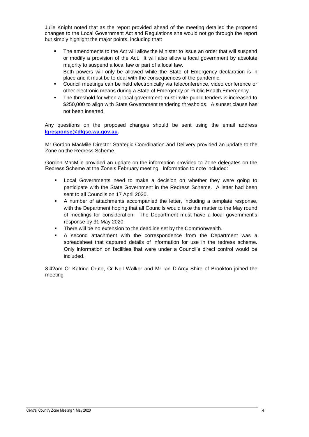Julie Knight noted that as the report provided ahead of the meeting detailed the proposed changes to the Local Government Act and Regulations she would not go through the report but simply highlight the major points, including that:

- The amendments to the Act will allow the Minister to issue an order that will suspend or modify a provision of the Act. It will also allow a local government by absolute majority to suspend a local law or part of a local law. Both powers will only be allowed while the State of Emergency declaration is in
- place and it must be to deal with the consequences of the pandemic. Council meetings can be held electronically via teleconference, video conference or other electronic means during a State of Emergency or Public Health Emergency.
- The threshold for when a local government must invite public tenders is increased to \$250,000 to align with State Government tendering thresholds. A sunset clause has not been inserted.

Any questions on the proposed changes should be sent using the email address **[lgresponse@dlgsc.wa.gov.au.](mailto:lgresponse@dlgsc.wa.gov.au)**

Mr Gordon MacMile Director Strategic Coordination and Delivery provided an update to the Zone on the Redress Scheme.

Gordon MacMile provided an update on the information provided to Zone delegates on the Redress Scheme at the Zone's February meeting. Information to note included:

- Local Governments need to make a decision on whether they were going to participate with the State Government in the Redress Scheme. A letter had been sent to all Councils on 17 April 2020.
- A number of attachments accompanied the letter, including a template response, with the Department hoping that all Councils would take the matter to the May round of meetings for consideration. The Department must have a local government's response by 31 May 2020.
- **There will be no extension to the deadline set by the Commonwealth.**
- A second attachment with the correspondence from the Department was a spreadsheet that captured details of information for use in the redress scheme. Only information on facilities that were under a Council's direct control would be included.

8.42am Cr Katrina Crute, Cr Neil Walker and Mr Ian D'Arcy Shire of Brookton joined the meeting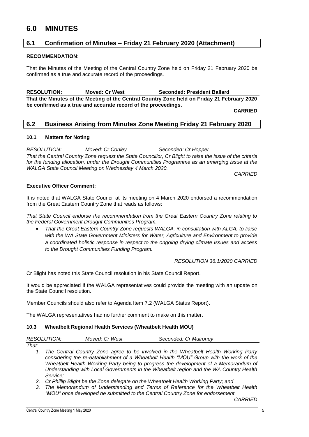## <span id="page-5-0"></span>**6.0 MINUTES**

#### <span id="page-5-1"></span>**6.1 Confirmation of Minutes – Friday 21 February 2020 (Attachment)**

#### **RECOMMENDATION:**

That the Minutes of the Meeting of the Central Country Zone held on Friday 21 February 2020 be confirmed as a true and accurate record of the proceedings.

**RESOLUTION: Moved: Cr West Seconded: President Ballard That the Minutes of the Meeting of the Central Country Zone held on Friday 21 February 2020 be confirmed as a true and accurate record of the proceedings.**

**CARRIED**

#### <span id="page-5-2"></span>**6.2 Business Arising from Minutes Zone Meeting Friday 21 February 2020**

#### **10.1 Matters for Noting**

*RESOLUTION: Moved: Cr Conley Seconded: Cr Hopper That the Central Country Zone request the State Councillor, Cr Blight to raise the issue of the criteria for the funding allocation, under the Drought Communities Programme as an emerging issue at the WALGA State Council Meeting on Wednesday 4 March 2020.* 

*CARRIED*

#### **Executive Officer Comment:**

It is noted that WALGA State Council at its meeting on 4 March 2020 endorsed a recommendation from the Great Eastern Country Zone that reads as follows:

*That State Council endorse the recommendation from the Great Eastern Country Zone relating to the Federal Government Drought Communities Program.*

 *That the Great Eastern Country Zone requests WALGA, in consultation with ALGA, to liaise with the WA State Government Ministers for Water, Agriculture and Environment to provide a coordinated holistic response in respect to the ongoing drying climate issues and access to the Drought Communities Funding Program.* 

*RESOLUTION 36.1/2020 CARRIED*

Cr Blight has noted this State Council resolution in his State Council Report.

It would be appreciated if the WALGA representatives could provide the meeting with an update on the State Council resolution.

Member Councils should also refer to Agenda Item 7.2 (WALGA Status Report).

The WALGA representatives had no further comment to make on this matter.

#### **10.3 Wheatbelt Regional Health Services (Wheatbelt Health MOU)**

| <b>RESOLUTION:</b> | Moved: Cr West | Seconded: Cr Mulroney |
|--------------------|----------------|-----------------------|
|                    |                |                       |

- *That:*
	- *1. The Central Country Zone agree to be involved in the Wheatbelt Health Working Party considering the re-establishment of a Wheatbelt Health "MOU" Group with the work of the Wheatbelt Health Working Party being to progress the development of a Memorandum of Understanding with Local Governments in the Wheatbelt region and the WA Country Health Service;*
	- *2. Cr Phillip Blight be the Zone delegate on the Wheatbelt Health Working Party; and*
	- *3. The Memorandum of Understanding and Terms of Reference for the Wheatbelt Health "MOU" once developed be submitted to the Central Country Zone for endorsement.*

*CARRIED*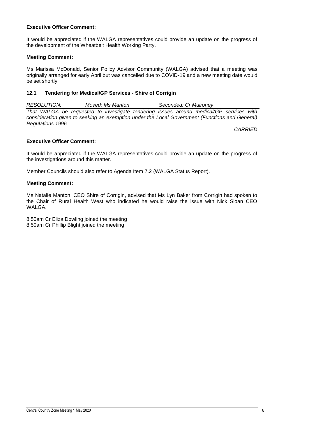#### **Executive Officer Comment:**

It would be appreciated if the WALGA representatives could provide an update on the progress of the development of the Wheatbelt Health Working Party.

#### **Meeting Comment:**

Ms Marissa McDonald, Senior Policy Advisor Community (WALGA) advised that a meeting was originally arranged for early April but was cancelled due to COVID-19 and a new meeting date would be set shortly.

#### **12.1 Tendering for Medical/GP Services - Shire of Corrigin**

*RESOLUTION: Moved: Ms Manton Seconded: Cr Mulroney That WALGA be requested to investigate tendering issues around medical/GP services with consideration given to seeking an exemption under the Local Government (Functions and General) Regulations 1996.*

*CARRIED*

#### **Executive Officer Comment:**

It would be appreciated if the WALGA representatives could provide an update on the progress of the investigations around this matter.

Member Councils should also refer to Agenda Item 7.2 (WALGA Status Report).

#### **Meeting Comment:**

Ms Natalie Manton, CEO Shire of Corrigin, advised that Ms Lyn Baker from Corrigin had spoken to the Chair of Rural Health West who indicated he would raise the issue with Nick Sloan CEO WALGA.

8.50am Cr Eliza Dowling joined the meeting 8.50am Cr Phillip Blight joined the meeting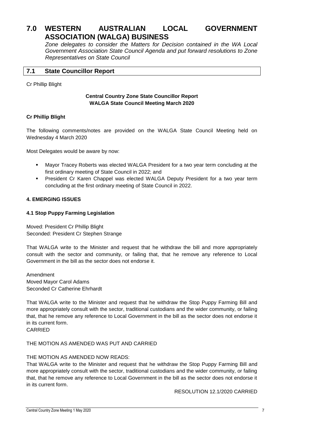## <span id="page-7-0"></span>**7.0 WESTERN AUSTRALIAN LOCAL GOVERNMENT ASSOCIATION (WALGA) BUSINESS**

*Zone delegates to consider the Matters for Decision contained in the WA Local Government Association State Council Agenda and put forward resolutions to Zone Representatives on State Council*

#### <span id="page-7-1"></span>**7.1 State Councillor Report**

#### Cr Phillip Blight

#### **Central Country Zone State Councillor Report WALGA State Council Meeting March 2020**

#### **Cr Phillip Blight**

The following comments/notes are provided on the WALGA State Council Meeting held on Wednesday 4 March 2020

Most Delegates would be aware by now:

- Mayor Tracey Roberts was elected WALGA President for a two year term concluding at the first ordinary meeting of State Council in 2022; and
- President Cr Karen Chappel was elected WALGA Deputy President for a two year term concluding at the first ordinary meeting of State Council in 2022.

#### **4. EMERGING ISSUES**

#### **4.1 Stop Puppy Farming Legislation**

Moved: President Cr Phillip Blight Seconded: President Cr Stephen Strange

That WALGA write to the Minister and request that he withdraw the bill and more appropriately consult with the sector and community, or failing that, that he remove any reference to Local Government in the bill as the sector does not endorse it.

Amendment Moved Mayor Carol Adams Seconded Cr Catherine Ehrhardt

That WALGA write to the Minister and request that he withdraw the Stop Puppy Farming Bill and more appropriately consult with the sector, traditional custodians and the wider community, or failing that, that he remove any reference to Local Government in the bill as the sector does not endorse it in its current form.

CARRIED

#### THE MOTION AS AMENDED WAS PUT AND CARRIED

#### THE MOTION AS AMENDED NOW READS:

That WALGA write to the Minister and request that he withdraw the Stop Puppy Farming Bill and more appropriately consult with the sector, traditional custodians and the wider community, or failing that, that he remove any reference to Local Government in the bill as the sector does not endorse it in its current form.

RESOLUTION 12.1/2020 CARRIED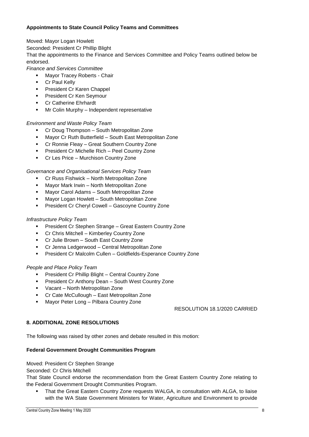#### **Appointments to State Council Policy Teams and Committees**

Moved: Mayor Logan Howlett

Seconded: President Cr Phillip Blight

That the appointments to the Finance and Services Committee and Policy Teams outlined below be endorsed.

*Finance and Services Committee* 

- Mayor Tracey Roberts Chair
- Cr Paul Kelly
- President Cr Karen Chappel
- **President Cr Ken Seymour**
- **•** Cr Catherine Ehrhardt
- Mr Colin Murphy Independent representative

#### *Environment and Waste Policy Team*

- Cr Doug Thompson South Metropolitan Zone
- Mayor Cr Ruth Butterfield South East Metropolitan Zone
- **Cr Ronnie Fleay Great Southern Country Zone**
- President Cr Michelle Rich Peel Country Zone
- Cr Les Price Murchison Country Zone

#### *Governance and Organisational Services Policy Team*

- Cr Russ Fishwick North Metropolitan Zone
- Mayor Mark Irwin North Metropolitan Zone
- Mayor Carol Adams South Metropolitan Zone
- **Mayor Logan Howlett South Metropolitan Zone**
- President Cr Cheryl Cowell Gascoyne Country Zone

#### *Infrastructure Policy Team*

- President Cr Stephen Strange Great Eastern Country Zone
- Cr Chris Mitchell Kimberley Country Zone
- Cr Julie Brown South East Country Zone
- Cr Jenna Ledgerwood Central Metropolitan Zone
- President Cr Malcolm Cullen Goldfields-Esperance Country Zone

#### *People and Place Policy Team*

- President Cr Phillip Blight Central Country Zone
- **President Cr Anthony Dean South West Country Zone**
- Vacant North Metropolitan Zone
- Cr Cate McCullough East Metropolitan Zone
- Mayor Peter Long Pilbara Country Zone

#### RESOLUTION 18.1/2020 CARRIED

#### **8. ADDITIONAL ZONE RESOLUTIONS**

The following was raised by other zones and debate resulted in this motion:

#### **Federal Government Drought Communities Program**

#### Moved: President Cr Stephen Strange

Seconded: Cr Chris Mitchell

That State Council endorse the recommendation from the Great Eastern Country Zone relating to the Federal Government Drought Communities Program.

 That the Great Eastern Country Zone requests WALGA, in consultation with ALGA, to liaise with the WA State Government Ministers for Water, Agriculture and Environment to provide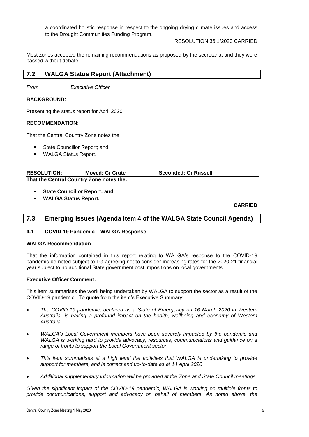a coordinated holistic response in respect to the ongoing drying climate issues and access to the Drought Communities Funding Program.

RESOLUTION 36.1/2020 CARRIED

Most zones accepted the remaining recommendations as proposed by the secretariat and they were passed without debate.

#### <span id="page-9-0"></span>**7.2 WALGA Status Report (Attachment)**

*From Executive Officer*

#### **BACKGROUND:**

Presenting the status report for April 2020.

#### **RECOMMENDATION:**

That the Central Country Zone notes the:

- State Councillor Report; and
- WALGA Status Report.

| <b>RESOLUTION:</b>                       | <b>Moved: Cr Crute</b> | <b>Seconded: Cr Russell</b> |
|------------------------------------------|------------------------|-----------------------------|
| That the Central Country Zone notes the: |                        |                             |

- **State Councillor Report; and**
- **WALGA Status Report.**

#### **CARRIED**

#### <span id="page-9-1"></span>**7.3 Emerging Issues (Agenda Item 4 of the WALGA State Council Agenda)**

#### **4.1 COVID-19 Pandemic – WALGA Response**

#### **WALGA Recommendation**

That the information contained in this report relating to WALGA's response to the COVID-19 pandemic be noted subject to LG agreeing not to consider increasing rates for the 2020-21 financial year subject to no additional State government cost impositions on local governments

#### **Executive Officer Comment:**

This item summarises the work being undertaken by WALGA to support the sector as a result of the COVID-19 pandemic. To quote from the item's Executive Summary:

- *The COVID-19 pandemic, declared as a State of Emergency on 16 March 2020 in Western Australia, is having a profound impact on the health, wellbeing and economy of Western Australia*
- *WALGA's Local Government members have been severely impacted by the pandemic and WALGA is working hard to provide advocacy, resources, communications and guidance on a range of fronts to support the Local Government sector.*
- This item summarises at a high level the activities that WALGA is undertaking to provide *support for members, and is correct and up-to-date as at 14 April 2020*
- *Additional supplementary information will be provided at the Zone and State Council meetings.*

*Given the significant impact of the COVID-19 pandemic, WALGA is working on multiple fronts to provide communications, support and advocacy on behalf of members. As noted above, the*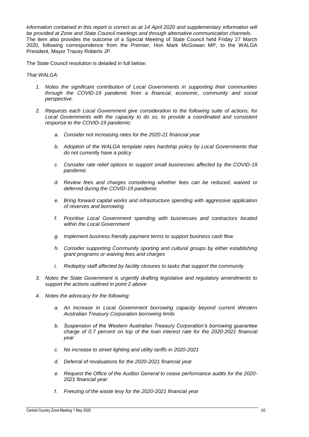information contained in this report is correct as at 14 April 2020 and supplementary information will *be provided at Zone and State Council meetings and through alternative communication channels.* The item also provides the outcome of a Special Meeting of State Council held Friday 27 March 2020, following correspondence from the Premier, Hon Mark McGowan MP, to the WALGA President, Mayor Tracey Roberts JP.

The State Council resolution is detailed in full below:

*That WALGA:*

- *1. Notes the significant contribution of Local Governments in supporting their communities through the COVID-19 pandemic from a financial, economic, community and social perspective.*
- *2. Requests each Local Government give consideration to the following suite of actions, for*  Local Governments with the capacity to do so, to provide a coordinated and consistent *response to the COVID-19 pandemic:*
	- *a. Consider not increasing rates for the 2020-21 financial year*
	- *b. Adoption of the WALGA template rates hardship policy by Local Governments that do not currently have a policy*
	- *c. Consider rate relief options to support small businesses affected by the COVID-19 pandemic*
	- *d. Review fees and charges considering whether fees can be reduced, waived or deferred during the COVID-19 pandemic*
	- *e. Bring forward capital works and infrastructure spending with aggressive application of reserves and borrowing*
	- *f. Prioritise Local Government spending with businesses and contractors located within the Local Government*
	- *g. Implement business friendly payment terms to support business cash flow*
	- *h. Consider supporting Community sporting and cultural groups by either establishing grant programs or waiving fees and charges*
	- *i. Redeploy staff affected by facility closures to tasks that support the community*
- *3. Notes the State Government is urgently drafting legislative and regulatory amendments to support the actions outlined in point 2 above*
- *4. Notes the advocacy for the following:*
	- *a. An increase in Local Government borrowing capacity beyond current Western Australian Treasury Corporation borrowing limits*
	- *b. Suspension of the Western Australian Treasury Corporation's borrowing guarantee charge of 0.7 percent on top of the loan interest rate for the 2020-2021 financial year*
	- *c. No increase to street lighting and utility tariffs in 2020-2021*
	- *d. Deferral of revaluations for the 2020-2021 financial year*
	- *e. Request the Office of the Auditor General to cease performance audits for the 2020- 2021 financial year*
	- *f. Freezing of the waste levy for the 2020-2021 financial year*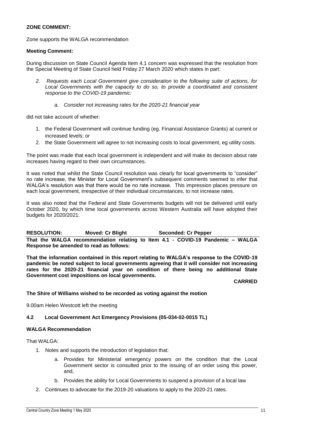#### **ZONE COMMENT:**

Zone supports the WALGA recommendation

#### **Meeting Comment:**

During discussion on State Council Agenda Item 4.1 concern was expressed that the resolution from the Special Meeting of State Council held Friday 27 March 2020 which states in part:

- *2. Requests each Local Government give consideration to the following suite of actions, for*  Local Governments with the capacity to do so, to provide a coordinated and consistent *response to the COVID-19 pandemic:*
	- *a. Consider not increasing rates for the 2020-21 financial year*

did not take account of whether:

- 1. the Federal Government will continue funding (eg. Financial Assistance Grants) at current or increased levels; or
- 2. the State Government will agree to not increasing costs to local government, eg utility costs.

The point was made that each local government is independent and will make its decision about rate increases having regard to their own circumstances.

It was noted that whilst the State Council resolution was clearly for local governments to "consider" no rate increase, the Minister for Local Government's subsequent comments seemed to infer that WALGA's resolution was that there would be no rate increase. This impression places pressure on each local government, irrespective of their individual circumstances, to not increase rates.

It was also noted that the Federal and State Governments budgets will not be delivered until early October 2020, by which time local governments across Western Australia will have adopted their budgets for 2020/2021.

**RESOLUTION: Moved: Cr Blight Seconded: Cr Pepper That the WALGA recommendation relating to Item 4.1 - COVID-19 Pandemic – WALGA Response be amended to read as follows:**

**That the information contained in this report relating to WALGA's response to the COVID-19 pandemic be noted subject to local governments agreeing that it will consider not increasing rates for the 2020-21 financial year on condition of there being no additional State Government cost impositions on local governments.**

**CARRIED**

#### **The Shire of Williams wished to be recorded as voting against the motion**

9.00am Helen Westcott left the meeting

#### **4.2 Local Government Act Emergency Provisions (05-034-02-0015 TL)**

#### **WALGA Recommendation**

That WALGA:

- 1. Notes and supports the introduction of legislation that:
	- a. Provides for Ministerial emergency powers on the condition that the Local Government sector is consulted prior to the issuing of an order using this power, and,
	- b. Provides the ability for Local Governments to suspend a provision of a local law
- 2. Continues to advocate for the 2019-20 valuations to apply to the 2020-21 rates.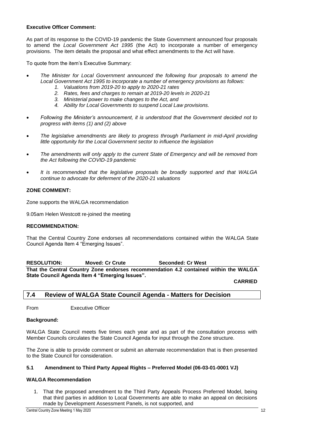#### **Executive Officer Comment:**

As part of its response to the COVID-19 pandemic the State Government announced four proposals to amend the *Local Government Act 1995* (the Act) to incorporate a number of emergency provisions. The item details the proposal and what effect amendments to the Act will have.

To quote from the item's Executive Summary:

- *The Minister for Local Government announced the following four proposals to amend the Local Government Act 1995 to incorporate a number of emergency provisions as follows:*
	- *1. Valuations from 2019-20 to apply to 2020-21 rates*
	- *2. Rates, fees and charges to remain at 2019-20 levels in 2020-21*
	- *3. Ministerial power to make changes to the Act, and*
	- *4. Ability for Local Governments to suspend Local Law provisions.*
- *Following the Minister's announcement, it is understood that the Government decided not to progress with items (1) and (2) above*
- *The legislative amendments are likely to progress through Parliament in mid-April providing little opportunity for the Local Government sector to influence the legislation*
- *The amendments will only apply to the current State of Emergency and will be removed from the Act following the COVID-19 pandemic*
- *It is recommended that the legislative proposals be broadly supported and that WALGA continue to advocate for deferment of the 2020-21 valuations*

#### **ZONE COMMENT:**

Zone supports the WALGA recommendation

9.05am Helen Westcott re-joined the meeting

#### **RECOMMENDATION:**

That the Central Country Zone endorses all recommendations contained within the WALGA State Council Agenda Item 4 "Emerging Issues".

**RESOLUTION: Moved: Cr Crute Seconded: Cr West That the Central Country Zone endorses recommendation 4.2 contained within the WALGA** 

**State Council Agenda Item 4 "Emerging Issues".**

**CARRIED**

#### <span id="page-12-0"></span>**7.4 Review of WALGA State Council Agenda - Matters for Decision**

From Executive Officer

#### **Background:**

WALGA State Council meets five times each year and as part of the consultation process with Member Councils circulates the State Council Agenda for input through the Zone structure.

The Zone is able to provide comment or submit an alternate recommendation that is then presented to the State Council for consideration.

#### **5.1 Amendment to Third Party Appeal Rights – Preferred Model (06-03-01-0001 VJ)**

#### **WALGA Recommendation**

1. That the proposed amendment to the Third Party Appeals Process Preferred Model, being that third parties in addition to Local Governments are able to make an appeal on decisions made by Development Assessment Panels, is not supported, and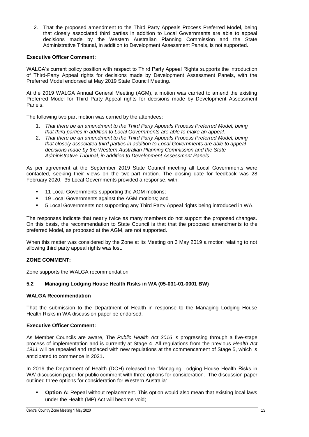2. That the proposed amendment to the Third Party Appeals Process Preferred Model, being that closely associated third parties in addition to Local Governments are able to appeal decisions made by the Western Australian Planning Commission and the State Administrative Tribunal, in addition to Development Assessment Panels, is not supported.

#### **Executive Officer Comment:**

WALGA's current policy position with respect to Third Party Appeal Rights supports the introduction of Third-Party Appeal rights for decisions made by Development Assessment Panels, with the Preferred Model endorsed at May 2019 State Council Meeting.

At the 2019 WALGA Annual General Meeting (AGM), a motion was carried to amend the existing Preferred Model for Third Party Appeal rights for decisions made by Development Assessment Panels.

The following two part motion was carried by the attendees:

- 1. *That there be an amendment to the Third Party Appeals Process Preferred Model, being that third parties in addition to Local Governments are able to make an appeal.*
- 2. *That there be an amendment to the Third Party Appeals Process Preferred Model, being that closely associated third parties in addition to Local Governments are able to appeal decisions made by the Western Australian Planning Commission and the State Administrative Tribunal, in addition to Development Assessment Panels.*

As per agreement at the September 2019 State Council meeting all Local Governments were contacted, seeking their views on the two-part motion. The closing date for feedback was 28 February 2020. 35 Local Governments provided a response, with:

- <sup>1</sup> 11 Local Governments supporting the AGM motions:
- **19 Local Governments against the AGM motions; and**
- 5 Local Governments not supporting any Third Party Appeal rights being introduced in WA.

The responses indicate that nearly twice as many members do not support the proposed changes. On this basis, the recommendation to State Council is that that the proposed amendments to the preferred Model, as proposed at the AGM, are not supported.

When this matter was considered by the Zone at its Meeting on 3 May 2019 a motion relating to not allowing third party appeal rights was lost.

#### **ZONE COMMENT:**

Zone supports the WALGA recommendation

#### **5.2 Managing Lodging House Health Risks in WA (05-031-01-0001 BW)**

#### **WALGA Recommendation**

That the submission to the Department of Health in response to the Managing Lodging House Health Risks in WA discussion paper be endorsed.

#### **Executive Officer Comment:**

As Member Councils are aware, The *Public Health Act 2016* is progressing through a five-stage process of implementation and is currently at Stage 4. All regulations from the previous *Health Act 1911* will be repealed and replaced with new regulations at the commencement of Stage 5, which is anticipated to commence in 2021.

In 2019 the Department of Health (DOH) released the 'Managing Lodging House Health Risks in WA' discussion paper for public comment with three options for consideration. The discussion paper outlined three options for consideration for Western Australia:

**Option A:** Repeal without replacement. This option would also mean that existing local laws under the Health (MP) Act will become void;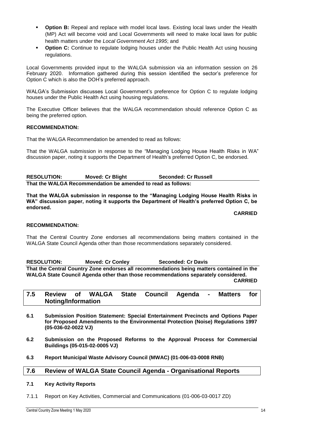- **Option B:** Repeal and replace with model local laws. Existing local laws under the Health (MP) Act will become void and Local Governments will need to make local laws for public health matters under the *Local Government Act 1995*; and
- **Option C:** Continue to regulate lodging houses under the Public Health Act using housing regulations.

Local Governments provided input to the WALGA submission via an information session on 26 February 2020. Information gathered during this session identified the sector's preference for Option C which is also the DOH's preferred approach.

WALGA's Submission discusses Local Government's preference for Option C to regulate lodging houses under the Public Health Act using housing regulations.

The Executive Officer believes that the WALGA recommendation should reference Option C as being the preferred option.

#### **RECOMMENDATION:**

That the WALGA Recommendation be amended to read as follows:

That the WALGA submission in response to the "Managing Lodging House Health Risks in WA" discussion paper, noting it supports the Department of Health's preferred Option C, be endorsed.

**RESOLUTION: Moved: Cr Blight Seconded: Cr Russell That the WALGA Recommendation be amended to read as follows:**

**That the WALGA submission in response to the "Managing Lodging House Health Risks in WA" discussion paper, noting it supports the Department of Health's preferred Option C, be endorsed.**

#### **CARRIED**

#### **RECOMMENDATION:**

That the Central Country Zone endorses all recommendations being matters contained in the WALGA State Council Agenda other than those recommendations separately considered.

**RESOLUTION: Moved: Cr Conley Seconded: Cr Davis That the Central Country Zone endorses all recommendations being matters contained in the WALGA State Council Agenda other than those recommendations separately considered. CARRIED**

#### <span id="page-14-0"></span>**7.5 Review of WALGA State Council Agenda - Matters for Noting/Information**

- **6.1 Submission Position Statement: Special Entertainment Precincts and Options Paper for Proposed Amendments to the Environmental Protection (Noise) Regulations 1997 (05-036-02-0022 VJ)**
- **6.2 Submission on the Proposed Reforms to the Approval Process for Commercial Buildings (05-015-02-0005 VJ)**
- **6.3 Report Municipal Waste Advisory Council (MWAC) (01-006-03-0008 RNB)**

#### <span id="page-14-1"></span>**7.6 Review of WALGA State Council Agenda - Organisational Reports**

#### **7.1 Key Activity Reports**

7.1.1 Report on Key Activities, Commercial and Communications (01-006-03-0017 ZD)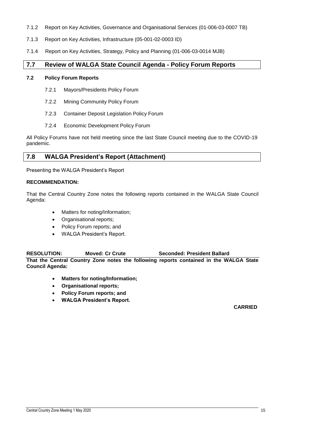- 7.1.2 Report on Key Activities, Governance and Organisational Services (01-006-03-0007 TB)
- 7.1.3 Report on Key Activities, Infrastructure (05-001-02-0003 ID)
- 7.1.4 Report on Key Activities, Strategy, Policy and Planning (01-006-03-0014 MJB)

#### <span id="page-15-0"></span>**7.7 Review of WALGA State Council Agenda - Policy Forum Reports**

#### **7.2 Policy Forum Reports**

- 7.2.1 Mayors/Presidents Policy Forum
- 7.2.2 Mining Community Policy Forum
- 7.2.3 Container Deposit Legislation Policy Forum
- 7.2.4 Economic Development Policy Forum

All Policy Forums have not held meeting since the last State Council meeting due to the COVID-19 pandemic.

#### <span id="page-15-1"></span>**7.8 WALGA President's Report (Attachment)**

Presenting the WALGA President's Report

#### **RECOMMENDATION:**

That the Central Country Zone notes the following reports contained in the WALGA State Council Agenda:

- Matters for noting/Information;
- Organisational reports;
- Policy Forum reports; and
- WALGA President's Report.

#### **RESOLUTION: Moved: Cr Crute Seconded: President Ballard**

**That the Central Country Zone notes the following reports contained in the WALGA State Council Agenda:**

- **Matters for noting/Information;**
- **Organisational reports;**
- **Policy Forum reports; and**
- **WALGA President's Report.**

**CARRIED**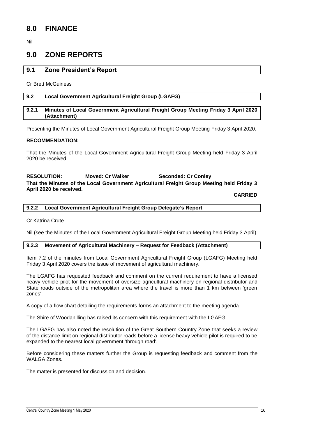## <span id="page-16-0"></span>**8.0 FINANCE**

Nil

## <span id="page-16-1"></span>**9.0 ZONE REPORTS**

#### <span id="page-16-2"></span>**9.1 Zone President's Report**

Cr Brett McGuiness

#### <span id="page-16-3"></span>**9.2 Local Government Agricultural Freight Group (LGAFG)**

#### <span id="page-16-4"></span>**9.2.1 Minutes of Local Government Agricultural Freight Group Meeting Friday 3 April 2020 (Attachment)**

Presenting the Minutes of Local Government Agricultural Freight Group Meeting Friday 3 April 2020.

#### **RECOMMENDATION:**

That the Minutes of the Local Government Agricultural Freight Group Meeting held Friday 3 April 2020 be received.

**RESOLUTION: Moved: Cr Walker Seconded: Cr Conley That the Minutes of the Local Government Agricultural Freight Group Meeting held Friday 3 April 2020 be received.**

**CARRIED**

#### <span id="page-16-5"></span>**9.2.2 Local Government Agricultural Freight Group Delegate's Report**

Cr Katrina Crute

Nil (see the Minutes of the Local Government Agricultural Freight Group Meeting held Friday 3 April)

#### <span id="page-16-6"></span>**9.2.3 Movement of Agricultural Machinery – Request for Feedback (Attachment)**

Item 7.2 of the minutes from Local Government Agricultural Freight Group (LGAFG) Meeting held Friday 3 April 2020 covers the issue of movement of agricultural machinery.

The LGAFG has requested feedback and comment on the current requirement to have a licensed heavy vehicle pilot for the movement of oversize agricultural machinery on regional distributor and State roads outside of the metropolitan area where the travel is more than 1 km between 'green zones'.

A copy of a flow chart detailing the requirements forms an attachment to the meeting agenda.

The Shire of Woodanilling has raised its concern with this requirement with the LGAFG.

The LGAFG has also noted the resolution of the Great Southern Country Zone that seeks a review of the distance limit on regional distributor roads before a license heavy vehicle pilot is required to be expanded to the nearest local government 'through road'.

Before considering these matters further the Group is requesting feedback and comment from the WALGA Zones.

The matter is presented for discussion and decision.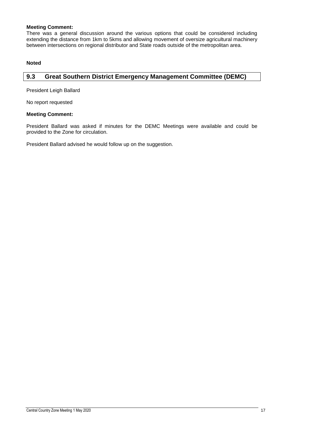#### **Meeting Comment:**

There was a general discussion around the various options that could be considered including extending the distance from 1km to 5kms and allowing movement of oversize agricultural machinery between intersections on regional distributor and State roads outside of the metropolitan area.

#### **Noted**

#### <span id="page-17-0"></span>**9.3 Great Southern District Emergency Management Committee (DEMC)**

President Leigh Ballard

No report requested

#### **Meeting Comment:**

President Ballard was asked if minutes for the DEMC Meetings were available and could be provided to the Zone for circulation.

President Ballard advised he would follow up on the suggestion.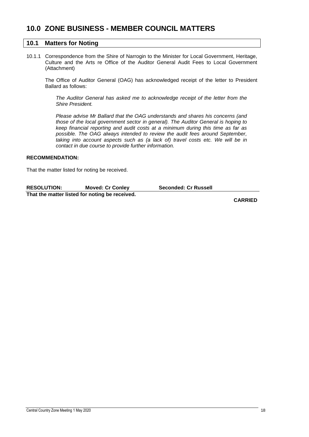## <span id="page-18-0"></span>**10.0 ZONE BUSINESS - MEMBER COUNCIL MATTERS**

#### <span id="page-18-1"></span>**10.1 Matters for Noting**

10.1.1 Correspondence from the Shire of Narrogin to the Minister for Local Government, Heritage, Culture and the Arts re Office of the Auditor General Audit Fees to Local Government (Attachment)

The Office of Auditor General (OAG) has acknowledged receipt of the letter to President Ballard as follows:

*The Auditor General has asked me to acknowledge receipt of the letter from the Shire President.* 

*Please advise Mr Ballard that the OAG understands and shares his concerns (and those of the local government sector in general). The Auditor General is hoping to keep financial reporting and audit costs at a minimum during this time as far as possible. The OAG always intended to review the audit fees around September, taking into account aspects such as (a lack of) travel costs etc. We will be in contact in due course to provide further information.*

#### **RECOMMENDATION:**

That the matter listed for noting be received.

| <b>RESOLUTION:</b>                             | <b>Moved: Cr Conley</b> | <b>Seconded: Cr Russell</b> |
|------------------------------------------------|-------------------------|-----------------------------|
| That the matter listed for noting be received. |                         |                             |

**CARRIED**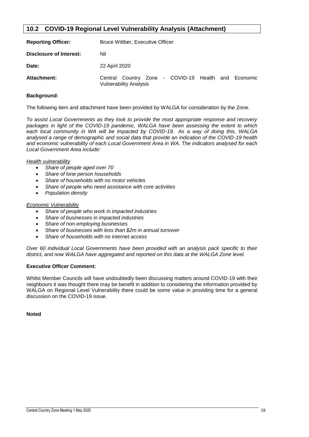#### <span id="page-19-0"></span>**10.2 COVID-19 Regional Level Vulnerability Analysis (Attachment)**

| <b>Reporting Officer:</b> | Bruce Wittber, Executive Officer                                                     |  |  |  |
|---------------------------|--------------------------------------------------------------------------------------|--|--|--|
| Disclosure of Interest:   | Nil                                                                                  |  |  |  |
| Date:                     | 22 April 2020                                                                        |  |  |  |
| Attachment:               | Central Country Zone - COVID-19 Health and Economic<br><b>Vulnerability Analysis</b> |  |  |  |

#### **Background:**

The following item and attachment have been provided by WALGA for consideration by the Zone.

*To assist Local Governments as they look to provide the most appropriate response and recovery packages in light of the COVID-19 pandemic, WALGA have been assessing the extent to which*  each local community in WA will be impacted by COVID-19. As a way of doing this, WALGA *analysed a range of demographic and social data that provide an indication of the COVID-19 health and economic vulnerability of each Local Government Area in WA. The indicators analysed for each Local Government Area include:* 

#### *Health vulnerability*

- *Share of people aged over 70*
- *Share of lone person households*
- *Share of households with no motor vehicles*
- *Share of people who need assistance with core activities*
- *Population density*

#### *Economic Vulnerability*

- *Share of people who work in impacted industries*
- *Share of businesses in impacted industries*
- *Share of non-employing businesses*
- *Share of businesses with less than \$2m in annual turnover*
- *Share of households with no internet access*

*Over 60 individual Local Governments have been provided with an analysis pack specific to their district, and now WALGA have aggregated and reported on this data at the WALGA Zone level.*

#### **Executive Officer Comment:**

Whilst Member Councils will have undoubtedly been discussing matters around COVID-19 with their neighbours it was thought there may be benefit in addition to considering the information provided by WALGA on Regional Level Vulnerability there could be some value in providing time for a general discussion on the COVID-19 issue.

**Noted**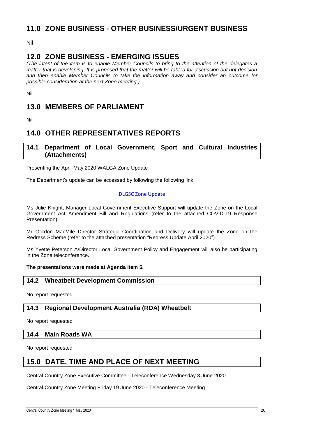## <span id="page-20-0"></span>**11.0 ZONE BUSINESS - OTHER BUSINESS/URGENT BUSINESS**

Nil

## <span id="page-20-1"></span>**12.0 ZONE BUSINESS - EMERGING ISSUES**

*(The intent of the item is to enable Member Councils to bring to the attention of the delegates a matter that is developing. It is proposed that the matter will be tabled for discussion but not decision and then enable Member Councils to take the information away and consider an outcome for possible consideration at the next Zone meeting.)*

Nil

## <span id="page-20-2"></span>**13.0 MEMBERS OF PARLIAMENT**

Nil

## <span id="page-20-3"></span>**14.0 OTHER REPRESENTATIVES REPORTS**

#### <span id="page-20-4"></span>**14.1 Department of Local Government, Sport and Cultural Industries (Attachments)**

Presenting the April-May 2020 WALGA Zone Update

The Department's update can be accessed by following the following link:

#### [DLGSC Zone Update](https://aus01.safelinks.protection.outlook.com/?url=https%3A%2F%2Fus7.campaign-archive.com%2F%3Fu%3D6b3a3f7b848e66bfa0f6fc583%26id%3D75c480fd59&data=02%7C01%7Cliz.toohey%40dlgsc.wa.gov.au%7C6f3e5caca6d242a17b8e08d7e2a2f3c9%7Cc1ae0ae2d5044287b6f47eafd6648d22%7C0%7C0%7C637227061809893351&sdata=dYoLDXQcDD6conbTLkjp5BsyeTCIN0RTqLE9UIi3CPs%3D&reserved=0)

Ms Julie Knight, Manager Local Government Executive Support will update the Zone on the Local Government Act Amendment Bill and Regulations (refer to the attached COVID-19 Response Presentation)

Mr Gordon MacMile Director Strategic Coordination and Delivery will update the Zone on the Redress Scheme (refer to the attached presentation "Redress Update April 2020").

Ms Yvette Peterson A/Director Local Government Policy and Engagement will also be participating in the Zone teleconference.

#### **The presentations were made at Agenda Item 5.**

#### <span id="page-20-5"></span>**14.2 Wheatbelt Development Commission**

No report requested

<span id="page-20-6"></span>**14.3 Regional Development Australia (RDA) Wheatbelt**

No report requested

#### <span id="page-20-7"></span>**14.4 Main Roads WA**

No report requested

## <span id="page-20-8"></span>**15.0 DATE, TIME AND PLACE OF NEXT MEETING**

Central Country Zone Executive Committee - Teleconference Wednesday 3 June 2020

Central Country Zone Meeting Friday 19 June 2020 - Teleconference Meeting